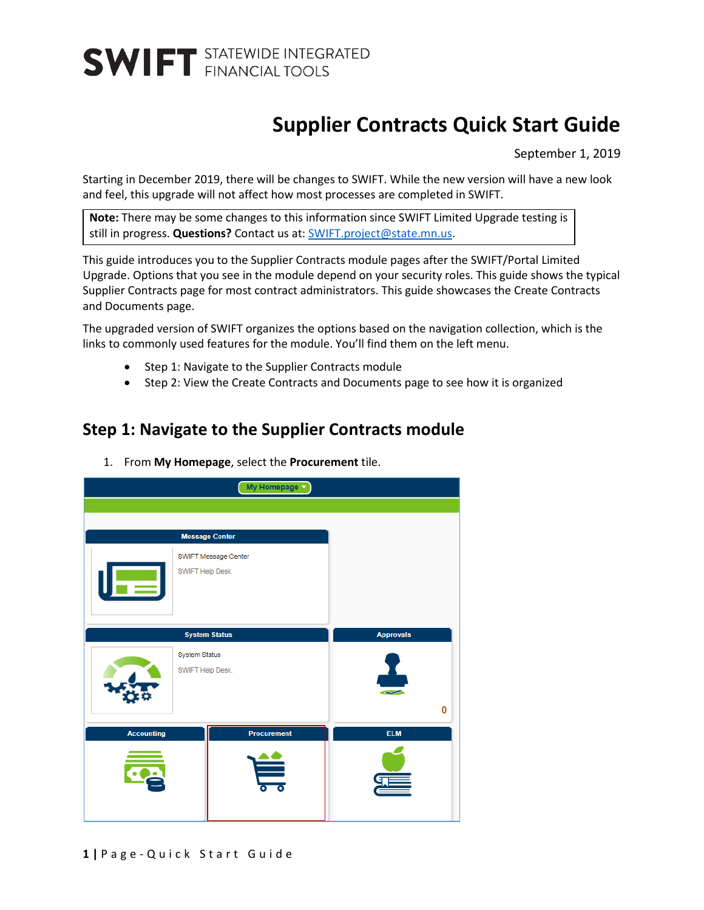### **Supplier Contracts Quick Start Guide**

September 1, 2019

Starting in December 2019, there will be changes to SWIFT. While the new version will have a new look and feel, this upgrade will not affect how most processes are completed in SWIFT.

**Note:** There may be some changes to this information since SWIFT Limited Upgrade testing is still in progress. Questions? Contact us at: [SWIFT.project@state.mn.us.](mailto:SWIFT.project@state.mn.us?subject=SWIFT%20Limited%20Upgrade%20Question)

This guide introduces you to the Supplier Contracts module pages after the SWIFT/Portal Limited Upgrade. Options that you see in the module depend on your security roles. This guide shows the typical Supplier Contracts page for most contract administrators. This guide showcases the Create Contracts and Documents page.

The upgraded version of SWIFT organizes the options based on the navigation collection, which is the links to commonly used features for the module. You'll find them on the left menu.

- Step 1: Navigate to the Supplier Contracts module
- Step 2: View the Create Contracts and Documents page to see how it is organized

#### **Step 1: Navigate to the Supplier Contracts module**



1. From **My Homepage**, select the **Procurement** tile.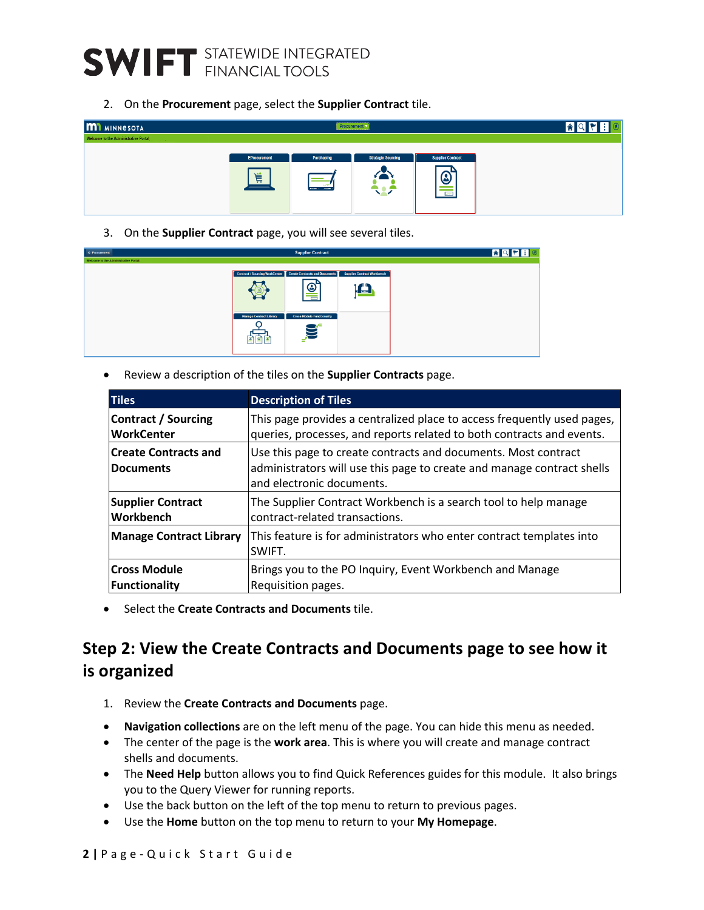## **SWIFT** STATEWIDE INTEGRATED

2. On the **Procurement** page, select the **Supplier Contract** tile.

| <b>M1</b> MINNESOTA                  | Procurement                   |                           |                                |                                                                       |  |  |
|--------------------------------------|-------------------------------|---------------------------|--------------------------------|-----------------------------------------------------------------------|--|--|
| Welcome to the Administrative Portal |                               |                           |                                |                                                                       |  |  |
|                                      | <b>EProcurement</b><br>賞<br>═ | Purchasing<br>come : come | <b>Strategic Sourcing</b><br>z | <b>Supplier Contract</b><br>$\odot$<br>--<br>$\overline{\phantom{a}}$ |  |  |

3. On the **Supplier Contract** page, you will see several tiles.

| <b>C</b> Procurement                  |                                | <b>Supplier Contract</b>                                      |                                    |
|---------------------------------------|--------------------------------|---------------------------------------------------------------|------------------------------------|
| Welcome to the Administrative Portal. |                                |                                                               |                                    |
|                                       |                                | Contract / Sourcing WorkCenter Create Contracts and Documents | <b>Supplier Contract Workbench</b> |
|                                       |                                | ☺<br>$\overline{\phantom{a}}$                                 | Lea                                |
|                                       | <b>Manage Contract Library</b> | <b>Cross Module Functionality</b>                             |                                    |
|                                       | ۵ì<br>۵<br>ിമ്                 | æ<br>$\sum_{i=1}^{n}$<br>⋍                                    |                                    |

• Review a description of the tiles on the **Supplier Contracts** page.

| <b>Tiles</b>                                    | <b>Description of Tiles</b>                                                                                                                                           |  |  |  |
|-------------------------------------------------|-----------------------------------------------------------------------------------------------------------------------------------------------------------------------|--|--|--|
| <b>Contract / Sourcing</b>                      | This page provides a centralized place to access frequently used pages,                                                                                               |  |  |  |
| <b>WorkCenter</b>                               | queries, processes, and reports related to both contracts and events.                                                                                                 |  |  |  |
| <b>Create Contracts and</b><br><b>Documents</b> | Use this page to create contracts and documents. Most contract<br>administrators will use this page to create and manage contract shells<br>and electronic documents. |  |  |  |
| <b>Supplier Contract</b>                        | The Supplier Contract Workbench is a search tool to help manage                                                                                                       |  |  |  |
| <b>Workbench</b>                                | contract-related transactions.                                                                                                                                        |  |  |  |
| <b>Manage Contract Library</b>                  | This feature is for administrators who enter contract templates into<br>SWIFT.                                                                                        |  |  |  |
| <b>Cross Module</b>                             | Brings you to the PO Inquiry, Event Workbench and Manage                                                                                                              |  |  |  |
| <b>Functionality</b>                            | Requisition pages.                                                                                                                                                    |  |  |  |

• Select the **Create Contracts and Documents** tile.

### **Step 2: View the Create Contracts and Documents page to see how it is organized**

- 1. Review the **Create Contracts and Documents** page.
- **Navigation collections** are on the left menu of the page. You can hide this menu as needed.
- The center of the page is the **work area**. This is where you will create and manage contract shells and documents.
- The **Need Help** button allows you to find Quick References guides for this module. It also brings you to the Query Viewer for running reports.
- Use the back button on the left of the top menu to return to previous pages.
- Use the **Home** button on the top menu to return to your **My Homepage**.